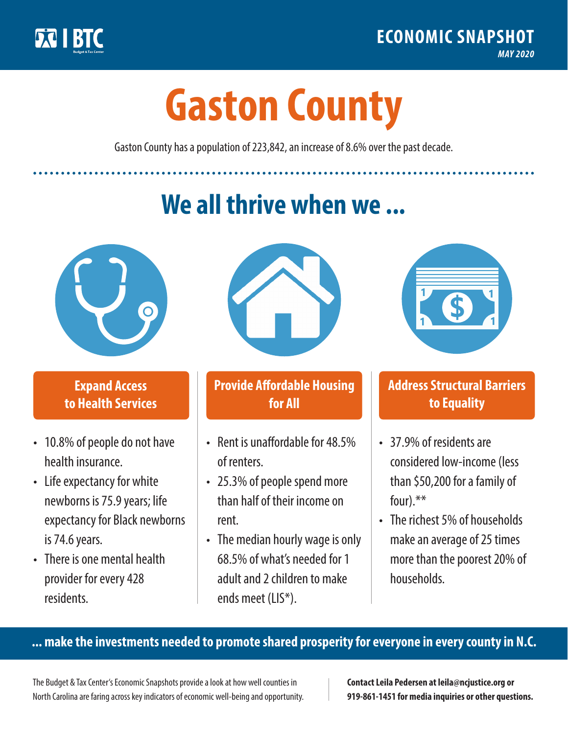

**1**

# **Gaston County**

Gaston County has a population of 223,842, an increase of 8.6% over the past decade.

# **We all thrive when we ...**



**\$ <sup>1</sup>**

**\$ <sup>1</sup>**

## **Expand Access to Health Services**

- 10.8% of people do not have health insurance.
- Life expectancy for white newborns is 75.9 years; life expectancy for Black newborns is 74.6 years.
- There is one mental health provider for every 428 residents.



## **Provide Affordable Housing for All**

- Rent is unaffordable for 48.5% of renters.
- 25.3% of people spend more than half of their income on rent.
- The median hourly wage is only 68.5% of what's needed for 1 adult and 2 children to make ends meet (LIS\*).



## **Address Structural Barriers to Equality**

- 37.9% of residents are considered low-income (less than \$50,200 for a family of four).\*\*
- The richest 5% of households make an average of 25 times more than the poorest 20% of households.

#### **... make the investments needed to promote shared prosperity for everyone in every county in N.C.**

The Budget & Tax Center's Economic Snapshots provide a look at how well counties in North Carolina are faring across key indicators of economic well-being and opportunity.